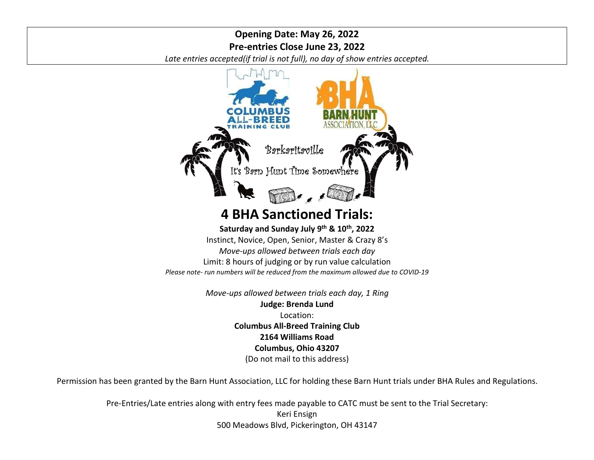## Opening Date: May 26, 2022 Pre-entries Close June 23, 2022

Late entries accepted(if trial is not full), no day of show entries accepted.



# 4 BHA Sanctioned Trials:

# Saturday and Sunday July 9th & 10th, 2022

Instinct, Novice, Open, Senior, Master & Crazy 8's Move-ups allowed between trials each day Limit: 8 hours of judging or by run value calculation Please note- run numbers will be reduced from the maximum allowed due to COVID-19

> Move-ups allowed between trials each day, 1 Ring Judge: Brenda Lund Location: Columbus All-Breed Training Club 2164 Williams Road Columbus, Ohio 43207 (Do not mail to this address)

Permission has been granted by the Barn Hunt Association, LLC for holding these Barn Hunt trials under BHA Rules and Regulations.

Pre-Entries/Late entries along with entry fees made payable to CATC must be sent to the Trial Secretary: Keri Ensign 500 Meadows Blvd, Pickerington, OH 43147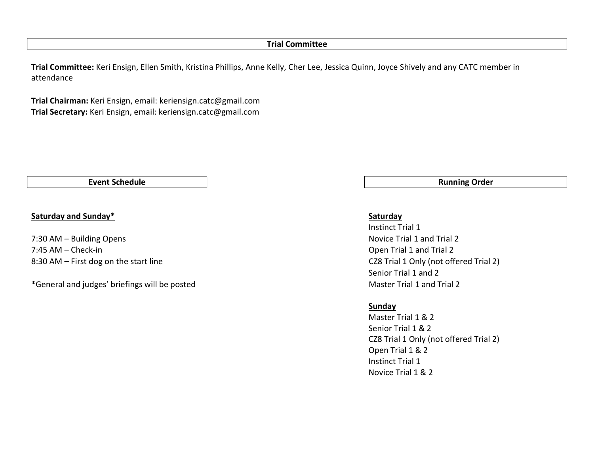Trial Committee: Keri Ensign, Ellen Smith, Kristina Phillips, Anne Kelly, Cher Lee, Jessica Quinn, Joyce Shively and any CATC member in attendance

Trial Chairman: Keri Ensign, email: keriensign.catc@gmail.com Trial Secretary: Keri Ensign, email: keriensign.catc@gmail.com

Saturday and Sunday\* Saturday and Sunday Saturday Saturday Saturday Saturday

7:30 AM – Building Opens **Novice Trial 1** and Trial 2 7:45 AM – Check-in Open Trial 1 and Trial 2

\*General and judges' briefings will be posted Master Trial 1 and Trial 2

Event Schedule **Running Order** Running Order

 Instinct Trial 1 8:30 AM – First dog on the start line CZ8 Trial 1 Only (not offered Trial 2) Senior Trial 1 and 2

Sunday

Master Trial 1 & 2 Senior Trial 1 & 2 CZ8 Trial 1 Only (not offered Trial 2) Open Trial 1 & 2 Instinct Trial 1 Novice Trial 1 & 2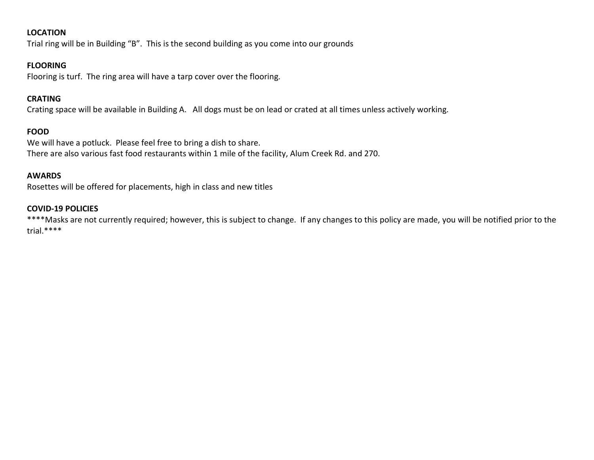## LOCATION

Trial ring will be in Building "B". This is the second building as you come into our grounds

## FLOORING

Flooring is turf. The ring area will have a tarp cover over the flooring.

## CRATING

Crating space will be available in Building A. All dogs must be on lead or crated at all times unless actively working.

## FOOD

We will have a potluck. Please feel free to bring a dish to share. There are also various fast food restaurants within 1 mile of the facility, Alum Creek Rd. and 270.

#### AWARDS

Rosettes will be offered for placements, high in class and new titles

## COVID-19 POLICIES

\*\*\*\*Masks are not currently required; however, this is subject to change. If any changes to this policy are made, you will be notified prior to the trial.\*\*\*\*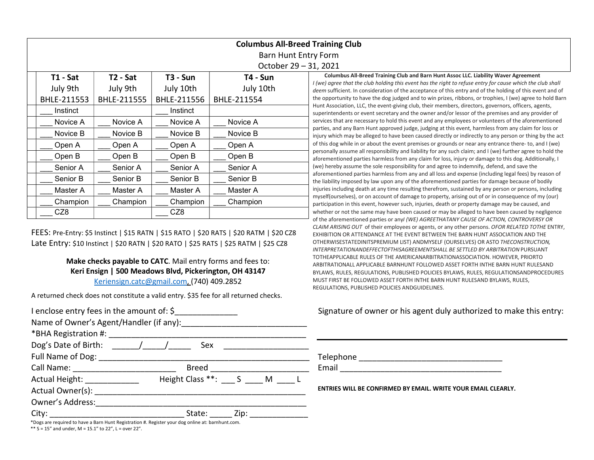| <b>Columbus All-Breed Training Club</b> |             |                 |             |                                                                                                                                                                                                                       |  |  |  |  |
|-----------------------------------------|-------------|-----------------|-------------|-----------------------------------------------------------------------------------------------------------------------------------------------------------------------------------------------------------------------|--|--|--|--|
| <b>Barn Hunt Entry Form</b>             |             |                 |             |                                                                                                                                                                                                                       |  |  |  |  |
| October 29 - 31, 2021                   |             |                 |             |                                                                                                                                                                                                                       |  |  |  |  |
|                                         |             |                 |             | Columbus All-Breed Training Club and Barn Hunt Assoc LLC. Liability Waver Agreement                                                                                                                                   |  |  |  |  |
| T1 - Sat                                | T2 - Sat    | <b>T3 - Sun</b> | T4 - Sun    | I (we) agree that the club holding this event has the right to refuse entry for cause which the club shall                                                                                                            |  |  |  |  |
| July 9th                                | July 9th    | July 10th       | July 10th   | deem sufficient. In consideration of the acceptance of this entry and of the holding of this event and of                                                                                                             |  |  |  |  |
| BHLE-211553                             | BHLE-211555 | BHLE-211556     | BHLE-211554 | the opportunity to have the dog judged and to win prizes, ribbons, or trophies, I (we) agree to hold Barn                                                                                                             |  |  |  |  |
| Instinct                                |             | Instinct        |             | Hunt Association, LLC, the event-giving club, their members, directors, governors, officers, agents,<br>superintendents or event secretary and the owner and/or lessor of the premises and any provider of            |  |  |  |  |
| Novice A                                | Novice A    | Novice A        | Novice A    | services that are necessary to hold this event and any employees or volunteers of the aforementioned                                                                                                                  |  |  |  |  |
| Novice B                                | Novice B    | Novice B        | Novice B    | parties, and any Barn Hunt approved judge, judging at this event, harmless from any claim for loss or<br>injury which may be alleged to have been caused directly or indirectly to any person or thing by the act     |  |  |  |  |
| Open A                                  | Open A      | Open A          | Open A      | of this dog while in or about the event premises or grounds or near any entrance there- to, and I (we)                                                                                                                |  |  |  |  |
| Open B                                  | Open B      | Open B          | Open B      | personally assume all responsibility and liability for any such claim; and I (we) further agree to hold the<br>aforementioned parties harmless from any claim for loss, injury or damage to this dog. Additionally, I |  |  |  |  |
| Senior A                                | Senior A    | Senior A        | Senior A    | (we) hereby assume the sole responsibility for and agree to indemnify, defend, and save the                                                                                                                           |  |  |  |  |
| Senior B                                | Senior B    | Senior B        | Senior B    | aforementioned parties harmless from any and all loss and expense (including legal fees) by reason of<br>the liability imposed by law upon any of the aforementioned parties for damage because of bodily             |  |  |  |  |
| Master A                                | Master A    | Master A        | Master A    | injuries including death at any time resulting therefrom, sustained by any person or persons, including                                                                                                               |  |  |  |  |
| Champion                                | Champion    | Champion        | Champion    | myself (ourselves), or on account of damage to property, arising out of or in consequence of my (our)<br>participation in this event, however such, injuries, death or property damage may be caused, and             |  |  |  |  |
| CZ8                                     |             | CZ8             |             | whether or not the same may have been caused or may be alleged to have been caused by negligence<br>of the aforementioned parties or anyl (WE) AGREETHATANY CAUSE OF ACTION, CONTROVERSY OR                           |  |  |  |  |

FEES: Pre-Entry: \$5 Instinct | \$15 RATN | \$15 RATO | \$20 RATS | \$20 RATM | \$20 CZ8 Late Entry: \$10 Instinct | \$20 RATN | \$20 RATO | \$25 RATS | \$25 RATM | \$25 CZ8

#### Make checks payable to CATC. Mail entry forms and fees to: Keri Ensign | 500 Meadows Blvd, Pickerington, OH 43147 Keriensign.catc@gmail.com, (740) 409.2852

A returned check does not constitute a valid entry. \$35 fee for all returned checks.

|                              | Sex                              |      |  |  |  |  |
|------------------------------|----------------------------------|------|--|--|--|--|
|                              |                                  |      |  |  |  |  |
|                              | Breed __________________________ |      |  |  |  |  |
| Actual Height: _____________ | Height Class **: S ___ M ___ L   |      |  |  |  |  |
| Actual Owner(s):             |                                  |      |  |  |  |  |
| Owner's Address:             |                                  |      |  |  |  |  |
|                              | State:                           | Zip: |  |  |  |  |

whether or not the same may have been caused or may be alleged to have been caused by negligence of the aforementioned parties or any/ (WE) AGREETHATANY CAUSE OF ACTION, CONTROVERSY OR CLAIM ARISING OUT of their employees or agents, or any other persons. OFOR RELATED TOTHE ENTRY, EXHIBITION OR ATTENDANCE AT THE EVENT BETWEEN THE BARN HUNT ASSOCIATION AND THE OTHERWISESTATEDINITSPREMIUM LIST) ANDMYSELF (OURSELVES) OR ASTO THECONSTRUCTION, INTERPRETATIONANDEFFECTOFTHISAGREEMENTSHALL BE SETTLED BY ARBITRATION PURSUANT TOTHEAPPLICABLE RULES OF THE AMERICANARBITRATIONASSOCIATION. HOWEVER, PRIORTO ARBITRATIONALL APPLICABLE BARNHUNT FOLLOWED ASSET FORTH INTHE BARN HUNT RULESAND BYLAWS, RULES, REGULATIONS, PUBLISHED POLICIES BYLAWS, RULES, REGULATIONSANDPROCEDURES MUST FIRST BE FOLLOWED ASSET FORTH INTHE BARN HUNT RULESAND BYLAWS, RULES, REGULATIONS, PUBLISHED POLICIES ANDGUIDELINES.

Signature of owner or his agent duly authorized to make this entry:

Telephone \_\_\_\_\_\_\_\_\_\_\_\_\_\_\_\_\_\_\_\_\_\_\_\_\_\_\_\_\_\_\_\_

Email  $\blacksquare$ 

ENTRIES WILL BE CONFIRMED BY EMAIL. WRITE YOUR EMAIL CLEARLY.

\*Dogs are required to have a Barn Hunt Registration #. Register your dog online at: barnhunt.com.

\*\*  $S = 15$ " and under,  $M = 15.1$ " to 22",  $L = over 22$ ".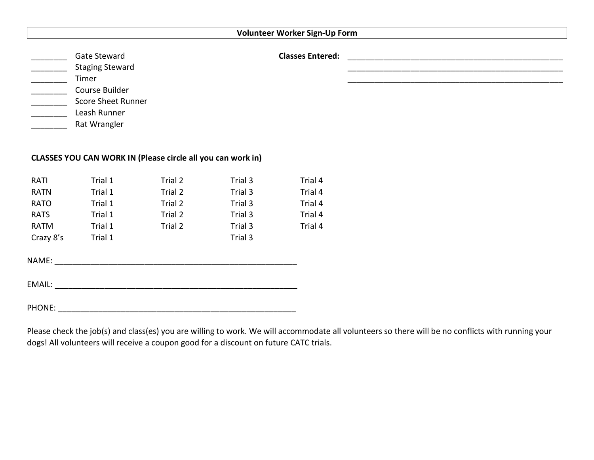|      | Gate Steward                                                |         |         | <b>Classes Entered:</b> |
|------|-------------------------------------------------------------|---------|---------|-------------------------|
|      | <b>Staging Steward</b>                                      |         |         |                         |
|      | Timer                                                       |         |         |                         |
|      | Course Builder                                              |         |         |                         |
|      | <b>Score Sheet Runner</b>                                   |         |         |                         |
|      | Leash Runner                                                |         |         |                         |
|      | Rat Wrangler                                                |         |         |                         |
|      |                                                             |         |         |                         |
|      | CLASSES YOU CAN WORK IN (Please circle all you can work in) |         |         |                         |
| RATI | Trial 1                                                     | Trial 2 | Trial 3 | Trial 4                 |

| <b>KAII</b> | iriai ± | Trial Z | inai 3  | Trial 4 |
|-------------|---------|---------|---------|---------|
| <b>RATN</b> | Trial 1 | Trial 2 | Trial 3 | Trial 4 |
| <b>RATO</b> | Trial 1 | Trial 2 | Trial 3 | Trial 4 |
| <b>RATS</b> | Trial 1 | Trial 2 | Trial 3 | Trial 4 |
| <b>RATM</b> | Trial 1 | Trial 2 | Trial 3 | Trial 4 |
| Crazy 8's   | Trial 1 |         | Trial 3 |         |
|             |         |         |         |         |
| NAME:       |         |         |         |         |
|             |         |         |         |         |
| EMAIL:      |         |         |         |         |
|             |         |         |         |         |
|             |         |         |         |         |

PHONE: \_\_\_\_\_\_\_\_\_\_\_\_\_\_\_\_\_\_\_\_\_\_\_\_\_\_\_\_\_\_\_\_\_\_\_\_\_\_\_\_\_\_\_\_\_\_\_\_\_\_\_\_\_

Please check the job(s) and class(es) you are willing to work. We will accommodate all volunteers so there will be no conflicts with running your dogs! All volunteers will receive a coupon good for a discount on future CATC trials.